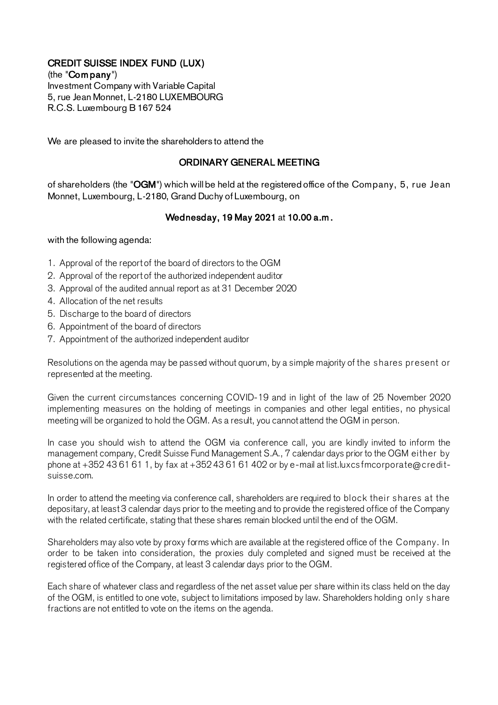## CREDIT SUISSE INDEX FUND (LUX)

(the "Com pany") Investment Company with Variable Capital 5, rue Jean Monnet, L-2180 LUXEMBOURG R.C.S. Luxembourg B 167 524

We are pleased to invite the shareholders to attend the

## ORDINARY GENERAL MEETING

of shareholders (the "OGM") which will be held at the registered office of the Company, 5, rue Jean Monnet, Luxembourg, L-2180, Grand Duchy of Luxembourg, on

## Wednesday, 19 May 2021 at 10.00 a.m .

with the following agenda:

- 1. Approval of the report of the board of directors to the OGM
- 2. Approval of the report of the authorized independent auditor
- 3. Approval of the audited annual report as at 31 December 2020
- 4. Allocation of the net results
- 5. Discharge to the board of directors
- 6. Appointment of the board of directors
- 7. Appointment of the authorized independent auditor

Resolutions on the agenda may be passed without quorum, by a simple majority of the shares present or represented at the meeting.

Given the current circumstances concerning COVID-19 and in light of the law of 25 November 2020 implementing measures on the holding of meetings in companies and other legal entities, no physical meeting will be organized to hold the OGM. As a result, you cannot attend the OGM in person.

In case you should wish to attend the OGM via conference call, you are kindly invited to inform the management company, Credit Suisse Fund Management S.A., 7 calendar days prior to the OGM either by phone at +352 43 61 61 1, by fax at +352 43 61 61 402 or by e-mail at list.luxcsfmcorporate@creditsuisse.com.

In order to attend the meeting via conference call, shareholders are required to block their shares at the depositary, at least 3 calendar days prior to the meeting and to provide the registered office of the Company with the related certificate, stating that these shares remain blocked until the end of the OGM.

Shareholders may also vote by proxy forms which are available at the registered office of the C ompany. In order to be taken into consideration, the proxies duly completed and signed must be received at the registered office of the Company, at least 3 calendar days prior to the OGM.

Each share of whatever class and regardless of the net asset value per share within its class held on the day of the OGM, is entitled to one vote, subject to limitations imposed by law. Shareholders holding only share fractions are not entitled to vote on the items on the agenda.